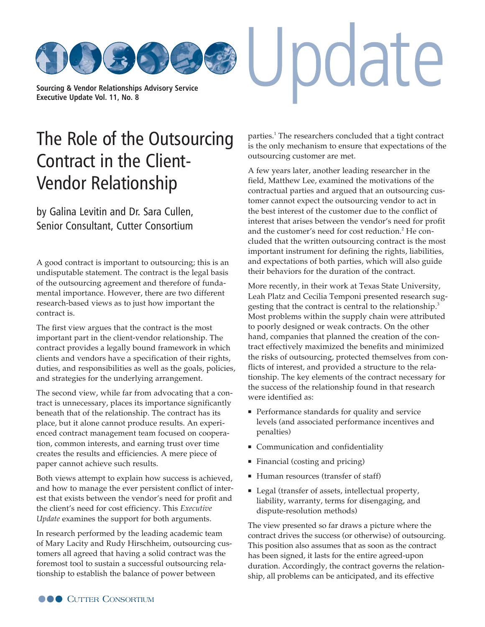**[Sourcing & Vendor Relationships Advisory Service](http://www.cutter.com) Executive Update Vol. 11, No. 8**

## [The Role of the Outsourcing](http://www.cutter.com) Contract in the Client-Vendor Relationship

by Galina Levitin and Dr. Sara Cullen, Senior Consultant, Cutter Consortium

A good contract is important to outsourcing; this is an undisputable statement. The contract is the legal basis of the outsourcing agreement and therefore of fundamental importance. However, there are two different research-based views as to just how important the contract is.

The first view argues that the contract is the most important part in the client-vendor relationship. The contract provides a legally bound framework in which clients and vendors have a specification of their rights, duties, and responsibilities as well as the goals, policies, and strategies for the underlying arrangement.

The second view, while far from advocating that a contract is unnecessary, places its importance significantly beneath that of the relationship. The contract has its place, but it alone cannot produce results. An experienced contract management team focused on cooperation, common interests, and earning trust over time creates the results and efficiencies. A mere piece of paper cannot achieve such results.

Both views attempt to explain how success is achieved, and how to manage the ever persistent conflict of interest that exists between the vendor's need for profit and the client's need for cost efficiency. This *Executive Update* examines the support for both arguments.

In research performed by the leading academic team of Mary Lacity and Rudy Hirschheim, outsourcing customers all agreed that having a solid contract was the foremost tool to sustain a successful outsourcing relationship to establish the balance of power between

parties.<sup>1</sup> The researchers concluded that a tight contract is the only mechanism to ensure that expectations of the outsourcing customer are met.

pdate

A few years later, another leading researcher in the field, Matthew Lee, examined the motivations of the contractual parties and argued that an outsourcing customer cannot expect the outsourcing vendor to act in the best interest of the customer due to the conflict of interest that arises between the vendor's need for profit and the customer's need for cost reduction.<sup>2</sup> He concluded that the written outsourcing contract is the most important instrument for defining the rights, liabilities, and expectations of both parties, which will also guide their behaviors for the duration of the contract.

More recently, in their work at Texas State University, Leah Platz and Cecilia Temponi presented research suggesting that the contract is central to the relationship.3 Most problems within the supply chain were attributed to poorly designed or weak contracts. On the other hand, companies that planned the creation of the contract effectively maximized the benefits and minimized the risks of outsourcing, protected themselves from conflicts of interest, and provided a structure to the relationship. The key elements of the contract necessary for the success of the relationship found in that research were identified as:

- **Performance standards for quality and service** levels (and associated performance incentives and penalties)
- **Communication and confidentiality**
- Financial (costing and pricing)
- Human resources (transfer of staff)
- Legal (transfer of assets, intellectual property, liability, warranty, terms for disengaging, and dispute-resolution methods)

The view presented so far draws a picture where the contract drives the success (or otherwise) of outsourcing. This position also assumes that as soon as the contract has been signed, it lasts for the entire agreed-upon duration. Accordingly, the contract governs the relationship, all problems can be anticipated, and its effective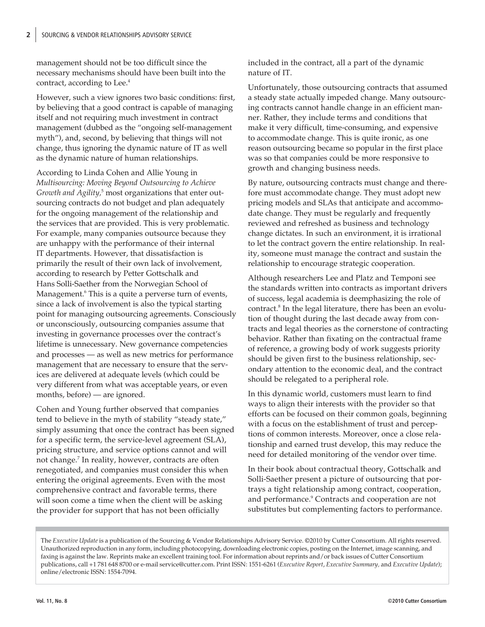management should not be too difficult since the necessary mechanisms should have been built into the contract, according to Lee.<sup>4</sup>

However, such a view ignores two basic conditions: first, by believing that a good contract is capable of managing itself and not requiring much investment in contract management (dubbed as the "ongoing self-management myth"), and, second, by believing that things will not change, thus ignoring the dynamic nature of IT as well as the dynamic nature of human relationships.

According to Linda Cohen and Allie Young in *Multisourcing: Moving Beyond Outsourcing to Achieve Growth and Agility,*<sup>5</sup> most organizations that enter outsourcing contracts do not budget and plan adequately for the ongoing management of the relationship and the services that are provided. This is very problematic. For example, many companies outsource because they are unhappy with the performance of their internal IT departments. However, that dissatisfaction is primarily the result of their own lack of involvement, according to research by Petter Gottschalk and Hans Solli-Saether from the Norwegian School of Management.<sup>6</sup> This is a quite a perverse turn of events, since a lack of involvement is also the typical starting point for managing outsourcing agreements. Consciously or unconsciously, outsourcing companies assume that investing in governance processes over the contract's lifetime is unnecessary. New governance competencies and processes — as well as new metrics for performance management that are necessary to ensure that the services are delivered at adequate levels (which could be very different from what was acceptable years, or even months, before) — are ignored.

Cohen and Young further observed that companies tend to believe in the myth of stability "steady state," simply assuming that once the contract has been signed for a specific term, the service-level agreement (SLA), pricing structure, and service options cannot and will not change.<sup>7</sup> In reality, however, contracts are often renegotiated, and companies must consider this when entering the original agreements. Even with the most comprehensive contract and favorable terms, there will soon come a time when the client will be asking the provider for support that has not been officially

included in the contract, all a part of the dynamic nature of IT.

Unfortunately, those outsourcing contracts that assumed a steady state actually impeded change. Many outsourcing contracts cannot handle change in an efficient manner. Rather, they include terms and conditions that make it very difficult, time-consuming, and expensive to accommodate change. This is quite ironic, as one reason outsourcing became so popular in the first place was so that companies could be more responsive to growth and changing business needs.

By nature, outsourcing contracts must change and therefore must accommodate change. They must adopt new pricing models and SLAs that anticipate and accommodate change. They must be regularly and frequently reviewed and refreshed as business and technology change dictates. In such an environment, it is irrational to let the contract govern the entire relationship. In reality, someone must manage the contract and sustain the relationship to encourage strategic cooperation.

Although researchers Lee and Platz and Temponi see the standards written into contracts as important drivers of success, legal academia is deemphasizing the role of contract.<sup>8</sup> In the legal literature, there has been an evolution of thought during the last decade away from contracts and legal theories as the cornerstone of contracting behavior. Rather than fixating on the contractual frame of reference, a growing body of work suggests priority should be given first to the business relationship, secondary attention to the economic deal, and the contract should be relegated to a peripheral role.

In this dynamic world, customers must learn to find ways to align their interests with the provider so that efforts can be focused on their common goals, beginning with a focus on the establishment of trust and perceptions of common interests. Moreover, once a close relationship and earned trust develop, this may reduce the need for detailed monitoring of the vendor over time.

In their book about contractual theory, Gottschalk and Solli-Saether present a picture of outsourcing that portrays a tight relationship among contract, cooperation, and performance.<sup>9</sup> Contracts and cooperation are not substitutes but complementing factors to performance.

The *Executive Update* is a publication of the Sourcing & Vendor Relationships Advisory Service. ©2010 by Cutter Consortium. All rights reserved. Unauthorized reproduction in any form, including photocopying, downloading electronic copies, posting on the Internet, image scanning, and faxing is against the law. Reprints make an excellent training tool. For information about reprints and/or back issues of Cutter Consortium publications, call +1 781 648 8700 or e-ma[il service@cutter.com. Print](mailto:service@cutter.com) ISSN: 1551-6261 (*Executive Report*, *Executive Summary,* and *Executive Update*); online/electronic ISSN: 1554-7094.